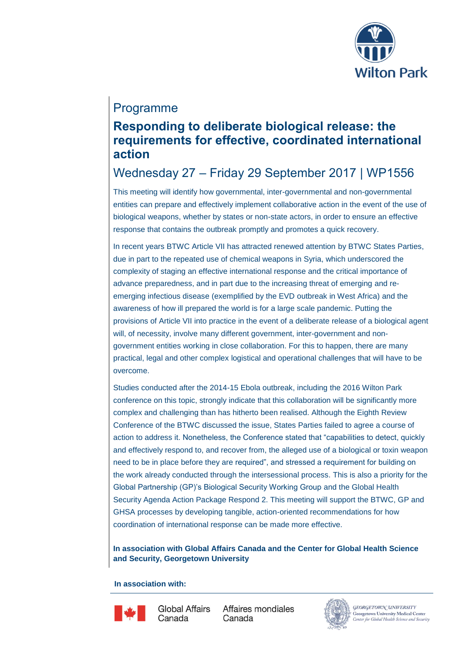

## Programme

## **Responding to deliberate biological release: the requirements for effective, coordinated international action**

# Wednesday 27 – Friday 29 September 2017 | WP1556

This meeting will identify how governmental, inter-governmental and non-governmental entities can prepare and effectively implement collaborative action in the event of the use of biological weapons, whether by states or non-state actors, in order to ensure an effective response that contains the outbreak promptly and promotes a quick recovery.

In recent years BTWC Article VII has attracted renewed attention by BTWC States Parties, due in part to the repeated use of chemical weapons in Syria, which underscored the complexity of staging an effective international response and the critical importance of advance preparedness, and in part due to the increasing threat of emerging and reemerging infectious disease (exemplified by the EVD outbreak in West Africa) and the awareness of how ill prepared the world is for a large scale pandemic. Putting the provisions of Article VII into practice in the event of a deliberate release of a biological agent will, of necessity, involve many different government, inter-government and nongovernment entities working in close collaboration. For this to happen, there are many practical, legal and other complex logistical and operational challenges that will have to be overcome.

Studies conducted after the 2014-15 Ebola outbreak, including the 2016 Wilton Park conference on this topic, strongly indicate that this collaboration will be significantly more complex and challenging than has hitherto been realised. Although the Eighth Review Conference of the BTWC discussed the issue, States Parties failed to agree a course of action to address it. Nonetheless, the Conference stated that "capabilities to detect, quickly and effectively respond to, and recover from, the alleged use of a biological or toxin weapon need to be in place before they are required", and stressed a requirement for building on the work already conducted through the intersessional process. This is also a priority for the Global Partnership (GP)'s Biological Security Working Group and the Global Health Security Agenda Action Package Respond 2. This meeting will support the BTWC, GP and GHSA processes by developing tangible, action-oriented recommendations for how coordination of international response can be made more effective.

**In association with Global Affairs Canada and the Center for Global Health Science and Security, Georgetown University**

**In association with:**



Global Affairs Canada

Affaires mondiales Canada



GEORGETOWN UNIVERSITY Georgetown University Medical Center **Center for Global Health Science and Security**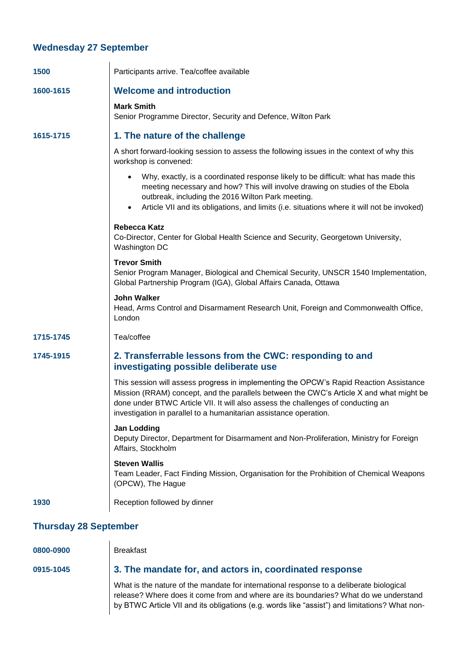#### **Wednesday 27 September**

 $\mathbf{I}$ 

| 1500      | Participants arrive. Tea/coffee available                                                                                                                                                                                                                                                                                                  |
|-----------|--------------------------------------------------------------------------------------------------------------------------------------------------------------------------------------------------------------------------------------------------------------------------------------------------------------------------------------------|
| 1600-1615 | <b>Welcome and introduction</b>                                                                                                                                                                                                                                                                                                            |
|           | <b>Mark Smith</b><br>Senior Programme Director, Security and Defence, Wilton Park                                                                                                                                                                                                                                                          |
| 1615-1715 | 1. The nature of the challenge                                                                                                                                                                                                                                                                                                             |
|           | A short forward-looking session to assess the following issues in the context of why this<br>workshop is convened:                                                                                                                                                                                                                         |
|           | Why, exactly, is a coordinated response likely to be difficult: what has made this<br>meeting necessary and how? This will involve drawing on studies of the Ebola<br>outbreak, including the 2016 Wilton Park meeting.<br>Article VII and its obligations, and limits (i.e. situations where it will not be invoked)<br>$\bullet$         |
|           | <b>Rebecca Katz</b><br>Co-Director, Center for Global Health Science and Security, Georgetown University,<br>Washington DC                                                                                                                                                                                                                 |
|           | <b>Trevor Smith</b><br>Senior Program Manager, Biological and Chemical Security, UNSCR 1540 Implementation,<br>Global Partnership Program (IGA), Global Affairs Canada, Ottawa                                                                                                                                                             |
|           | <b>John Walker</b><br>Head, Arms Control and Disarmament Research Unit, Foreign and Commonwealth Office,<br>London                                                                                                                                                                                                                         |
| 1715-1745 | Tea/coffee                                                                                                                                                                                                                                                                                                                                 |
| 1745-1915 | 2. Transferrable lessons from the CWC: responding to and<br>investigating possible deliberate use                                                                                                                                                                                                                                          |
|           | This session will assess progress in implementing the OPCW's Rapid Reaction Assistance<br>Mission (RRAM) concept, and the parallels between the CWC's Article X and what might be<br>done under BTWC Article VII. It will also assess the challenges of conducting an<br>investigation in parallel to a humanitarian assistance operation. |
|           | <b>Jan Lodding</b><br>Deputy Director, Department for Disarmament and Non-Proliferation, Ministry for Foreign<br>Affairs, Stockholm                                                                                                                                                                                                        |
|           | <b>Steven Wallis</b><br>Team Leader, Fact Finding Mission, Organisation for the Prohibition of Chemical Weapons<br>(OPCW), The Hague                                                                                                                                                                                                       |
| 1930      | Reception followed by dinner                                                                                                                                                                                                                                                                                                               |
|           |                                                                                                                                                                                                                                                                                                                                            |

#### **Thursday 28 September**

| 0800-0900 |  |  |  |  |
|-----------|--|--|--|--|
|           |  |  |  |  |

**0800-0900** Breakfast

#### **0915-1045 3. The mandate for, and actors in, coordinated response**

What is the nature of the mandate for international response to a deliberate biological release? Where does it come from and where are its boundaries? What do we understand by BTWC Article VII and its obligations (e.g. words like "assist") and limitations? What non-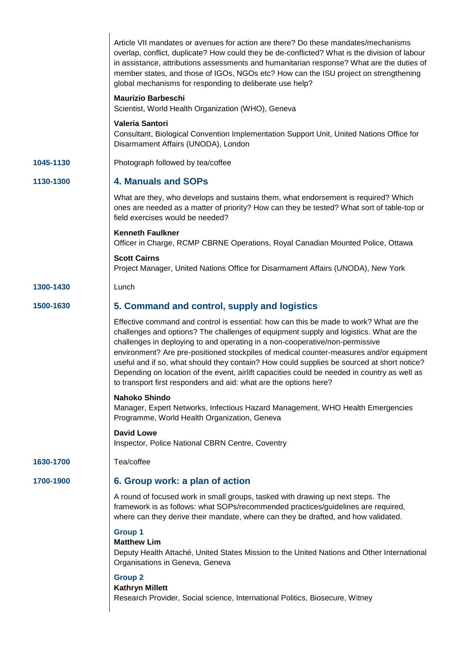|           | Article VII mandates or avenues for action are there? Do these mandates/mechanisms<br>overlap, conflict, duplicate? How could they be de-conflicted? What is the division of labour<br>in assistance, attributions assessments and humanitarian response? What are the duties of<br>member states, and those of IGOs, NGOs etc? How can the ISU project on strengthening<br>global mechanisms for responding to deliberate use help?                                                                                                                                                                                           |
|-----------|--------------------------------------------------------------------------------------------------------------------------------------------------------------------------------------------------------------------------------------------------------------------------------------------------------------------------------------------------------------------------------------------------------------------------------------------------------------------------------------------------------------------------------------------------------------------------------------------------------------------------------|
|           | <b>Maurizio Barbeschi</b><br>Scientist, World Health Organization (WHO), Geneva                                                                                                                                                                                                                                                                                                                                                                                                                                                                                                                                                |
|           | <b>Valeria Santori</b><br>Consultant, Biological Convention Implementation Support Unit, United Nations Office for<br>Disarmament Affairs (UNODA), London                                                                                                                                                                                                                                                                                                                                                                                                                                                                      |
| 1045-1130 | Photograph followed by tea/coffee                                                                                                                                                                                                                                                                                                                                                                                                                                                                                                                                                                                              |
| 1130-1300 | <b>4. Manuals and SOPs</b>                                                                                                                                                                                                                                                                                                                                                                                                                                                                                                                                                                                                     |
|           | What are they, who develops and sustains them, what endorsement is required? Which<br>ones are needed as a matter of priority? How can they be tested? What sort of table-top or<br>field exercises would be needed?                                                                                                                                                                                                                                                                                                                                                                                                           |
|           | <b>Kenneth Faulkner</b><br>Officer in Charge, RCMP CBRNE Operations, Royal Canadian Mounted Police, Ottawa                                                                                                                                                                                                                                                                                                                                                                                                                                                                                                                     |
|           | <b>Scott Cairns</b><br>Project Manager, United Nations Office for Disarmament Affairs (UNODA), New York                                                                                                                                                                                                                                                                                                                                                                                                                                                                                                                        |
| 1300-1430 | Lunch                                                                                                                                                                                                                                                                                                                                                                                                                                                                                                                                                                                                                          |
| 1500-1630 | 5. Command and control, supply and logistics                                                                                                                                                                                                                                                                                                                                                                                                                                                                                                                                                                                   |
|           | Effective command and control is essential: how can this be made to work? What are the<br>challenges and options? The challenges of equipment supply and logistics. What are the<br>challenges in deploying to and operating in a non-cooperative/non-permissive<br>environment? Are pre-positioned stockpiles of medical counter-measures and/or equipment<br>useful and if so, what should they contain? How could supplies be sourced at short notice?<br>Depending on location of the event, airlift capacities could be needed in country as well as<br>to transport first responders and aid: what are the options here? |
|           | Nahoko Shindo<br>Manager, Expert Networks, Infectious Hazard Management, WHO Health Emergencies<br>Programme, World Health Organization, Geneva                                                                                                                                                                                                                                                                                                                                                                                                                                                                                |
|           | <b>David Lowe</b><br><b>Inspector, Police National CBRN Centre, Coventry</b>                                                                                                                                                                                                                                                                                                                                                                                                                                                                                                                                                   |
| 1630-1700 | Tea/coffee                                                                                                                                                                                                                                                                                                                                                                                                                                                                                                                                                                                                                     |
| 1700-1900 | 6. Group work: a plan of action                                                                                                                                                                                                                                                                                                                                                                                                                                                                                                                                                                                                |
|           | A round of focused work in small groups, tasked with drawing up next steps. The<br>framework is as follows: what SOPs/recommended practices/guidelines are required,<br>where can they derive their mandate, where can they be drafted, and how validated.                                                                                                                                                                                                                                                                                                                                                                     |
|           | <b>Group 1</b><br><b>Matthew Lim</b><br>Deputy Health Attaché, United States Mission to the United Nations and Other International<br>Organisations in Geneva, Geneva                                                                                                                                                                                                                                                                                                                                                                                                                                                          |
|           | <b>Group 2</b><br><b>Kathryn Millett</b><br>Research Provider, Social science, International Politics, Biosecure, Witney                                                                                                                                                                                                                                                                                                                                                                                                                                                                                                       |